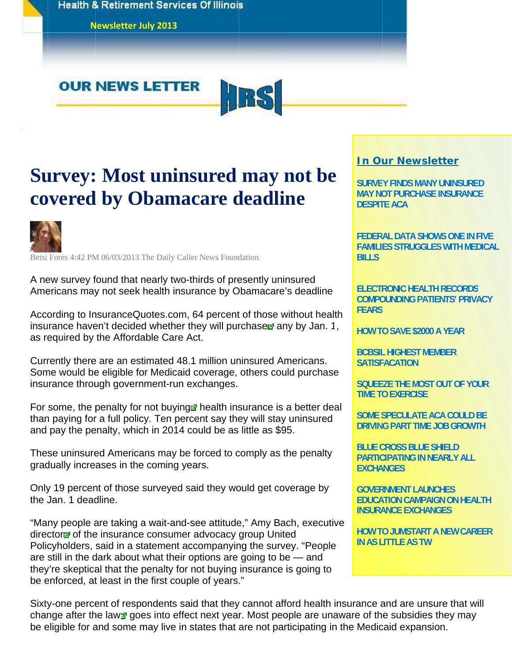**Health & Retirement Services Of Illinois** 

**Newsletter July 2013** 

**OUR NEWS LETTER** 



# Survey: Most uninsured may not be **covered** by Obamacare deadline



Betsi Fores 4:42 PM 06/03/2013 The Daily Caller News Foundation

A new survey found that nearly two-thirds of presently uninsured Americans may not seek health insurance by Obamacare's deadline

According to InsuranceQuotes.com, 64 percent of those without health insurance haven't decided whether they will purchaser any by Jan. 1, as required by the Affordable Care Act.

Currently there are an estimated 48.1 million uninsured Americans. Some would be eligible for Medicaid coverage, others could purchase insurance through government-run exchanges. Some would be eligible for Medicaid coverage, others could purchase<br>insurance through government-run exchanges.<br>For some, the penalty for not buying<u>e</u> health insurance is a better deal

than paying for a full policy. Ten percent say they will stay uninsured and pay the penalty, which in 2014 could be as little as \$95.

These uninsured Americans may be forced to comply as the penalty gradually increases in the coming years.

Only 19 percent of those surveyed said they would get coverage by the Jan. 1 deadline.

"Many people are taking a wait-and-see attitude," Amy Bach, executive director<sup>a</sup> of the insurance consumer advocacy group United Policyholders, said in a statement accompanying the survey. "People are still in the dark about what their options are going to be - and they're skeptical that the penalty for not buying insurance is going to be enforced, at least in the first couple of years." Policyholders, said in a statement accompanying the survey. "People<br>
are still in the dark about what their options are going to be — and<br>
they're skeptical that the penalty for not buying insurance is going to<br>
be enforce

### **In Our Newsletter**

**SURVEY FINDS MANY UNINSURED MAY NOT PURCHASE INSURANCE DESPITE ACA** 

**FEDERAL DATA SHOWS ONE IN FIVE FAMILIES STRUGGLES WITH MEDICAL BILLS** 

**ELECTRONIC HEALTH RECORDS COMPOUNDING PATIENTS' PRIVACY FEARS**

**HOW TO SAVE \$2000 A YEAR** 

**BCBSIL HIGHEST MEMBER SATISFACATION** 

**SQUEEZE THE MOST OUT OF YOUR TIME TO EXERCISE** 

**SOME SPECULATE ACA COULD BE DRIVING PART TIME JOB GROWTH** 

**BLUE C CROSS BLUE SHIELD PARTICIPATING IN NEARLY ALL EXCHA ANGES** 

**GOVERNMENT LAUNCHES EDUCATION CAMPAIGN ON HEALTH INSURANCE EXCHANGES** 

**HOW TO JUMSTART A NEW CAREER IN AS LITTLE AS TW** 

change after the law<sup>3</sup> goes into effect next year. Most people are unaware of the subsidies they may be eligible for and some may live in states that are not participating in the Medicaid expansion.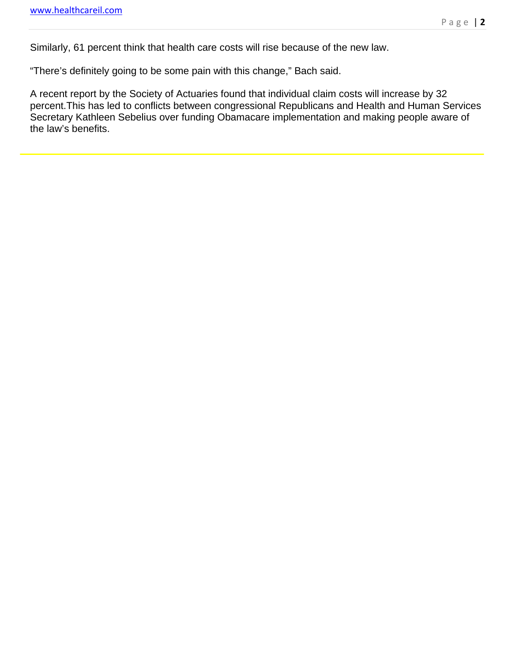l,

Similarly, 61 percent think that health care costs will rise because of the new law.

"There's definitely going to be some pain with this change," Bach said.

A recent report by the Society of Actuaries found that individual claim costs will increase by 32 percent.This has led to conflicts between congressional Republicans and Health and Human Services Secretary Kathleen Sebelius over funding Obamacare implementation and making people aware of the law's benefits.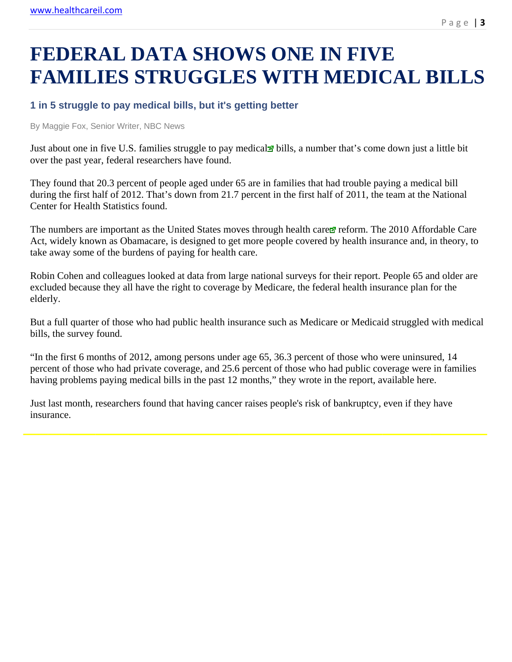### Page | **3**

# **FE EDER RAL D DATA SHOW WS O NE IN N FIVE** FEDERAL DATA SHOWS ONE IN FIVE<br>FAMILIES STRUGGLES WITH MEDICAL BILLS

### **1** in 5 struggle to pay medical bills, but it's getting better

By M Maggie Fox, S Senior Writer, NBC News

Just about one in five U.S. families struggle to pay medical<sup>7</sup> bills, a number that's come down just a little bit over the past year, federal researchers have found.

They found that 20.3 percent of people aged under 65 are in families that had trouble paying a medical bill during the first half of 2012. That's down from 21.7 percent in the first half of 2011, the team at the National Center for Health Statistics found.

The numbers are important as the United States moves through health care<sup>r</sup> reform. The 2010 Affordable Care Act, widely known as Obamacare, is designed to get more people covered by health insurance and, in theory, to take away some of the burdens of paying for health care.

Robin Cohen and colleagues looked at data from large national surveys for their report. People 65 and older are excluded because they all have the right to coverage by Medicare, the federal health insurance plan for the elderly. o<br>e<br>cal

But a full quarter of those who had public health insurance such as Medicare or Medicaid struggled with medica bills , the survey found.

"In the first 6 months of 2012, among persons under age 65, 36.3 percent of those who were uninsured, 14 percent of those who had private coverage, and 25.6 percent of those who had public coverage were in families having problems paying medical bills in the past 12 months," they wrote in the report, available here.

Just last month, researchers found that having cancer raises people's risk of bankruptcy, even if they have insurance.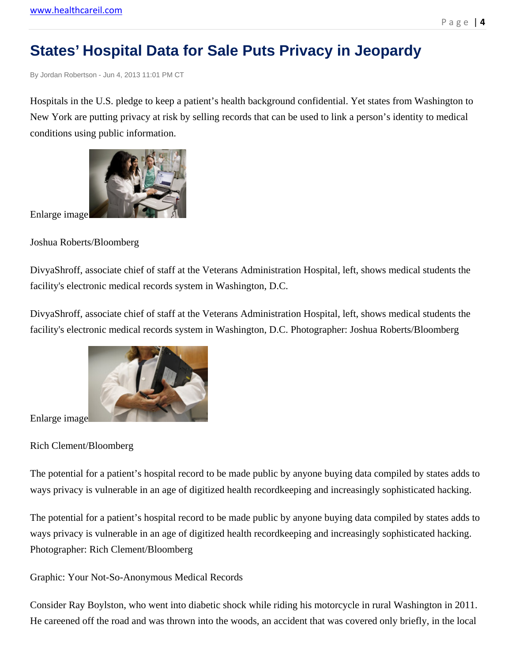# **States' Hospital Data for Sale Puts Privacy in Jeopardy**

By Jordan Robertson - Jun 4, 2013 11:01 PM CT

Hospitals in the U.S. pledge to keep a patient's health background confidential. Yet states from Washington to New York are putting privacy at risk by selling records that can be used to link a person's identity to medical conditions using public information.



Enlarge image

Joshua Roberts/Bloomberg

DivyaShroff, associate chief of staff at the Veterans Administration Hospital, left, shows medical students the facility's electronic medical records system in Washington, D.C.

DivyaShroff, associate chief of staff at the Veterans Administration Hospital, left, shows medical students the facility's electronic medical records system in Washington, D.C. Photographer: Joshua Roberts/Bloomberg



Enlarge image

### Rich Clement/Bloomberg

The potential for a patient's hospital record to be made public by anyone buying data compiled by states adds to ways privacy is vulnerable in an age of digitized health recordkeeping and increasingly sophisticated hacking.

The potential for a patient's hospital record to be made public by anyone buying data compiled by states adds to ways privacy is vulnerable in an age of digitized health recordkeeping and increasingly sophisticated hacking. Photographer: Rich Clement/Bloomberg

Graphic: Your Not-So-Anonymous Medical Records

Consider Ray Boylston, who went into diabetic shock while riding his motorcycle in rural Washington in 2011. He careened off the road and was thrown into the woods, an accident that was covered only briefly, in the local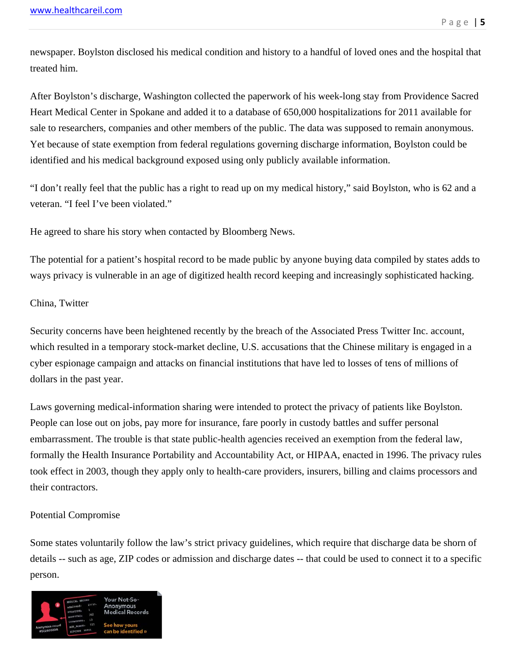newspaper. Boylston disclosed his medical condition and history to a handful of loved ones and the hospital that treated him.

After Boylston's discharge, Washington collected the paperwork of his week-long stay from Providence Sacred Heart Medical Center in Spokane and added it to a database of 650,000 hospitalizations for 2011 available for sale to researchers, companies and other members of the public. The data was supposed to remain anonymous. Yet because of state exemption from federal regulations governing discharge information, Boylston could be identified and his medical background exposed using only publicly available information.

"I don't really feel that the public has a right to read up on my medical history," said Boylston, who is 62 and a veteran. "I feel I've been violated."

He agreed to share his story when contacted by Bloomberg News.

The potential for a patient's hospital record to be made public by anyone buying data compiled by states adds to ways privacy is vulnerable in an age of digitized health record keeping and increasingly sophisticated hacking.

### China, Twitter

Security concerns have been heightened recently by the breach of the Associated Press Twitter Inc. account, which resulted in a temporary stock-market decline, U.S. accusations that the Chinese military is engaged in a cyber espionage campaign and attacks on financial institutions that have led to losses of tens of millions of dollars in the past year.

Laws governing medical-information sharing were intended to protect the privacy of patients like Boylston. People can lose out on jobs, pay more for insurance, fare poorly in custody battles and suffer personal embarrassment. The trouble is that state public-health agencies received an exemption from the federal law, formally the Health Insurance Portability and Accountability Act, or HIPAA, enacted in 1996. The privacy rules took effect in 2003, though they apply only to health-care providers, insurers, billing and claims processors and their contractors.

### Potential Compromise

Some states voluntarily follow the law's strict privacy guidelines, which require that discharge data be shorn of details -- such as age, ZIP codes or admission and discharge dates -- that could be used to connect it to a specific person.

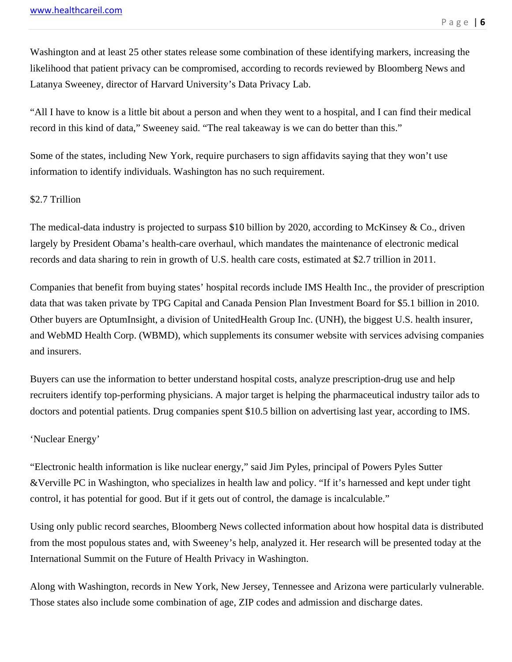Washington and at least 25 other states release some combination of these identifying markers, increasing the likelihood that patient privacy can be compromised, according to records reviewed by Bloomberg News and Latanya Sweeney, director of Harvard University's Data Privacy Lab.

"All I have to know is a little bit about a person and when they went to a hospital, and I can find their medical record in this kind of data," Sweeney said. "The real takeaway is we can do better than this."

Some of the states, including New York, require purchasers to sign affidavits saying that they won't use information to identify individuals. Washington has no such requirement.

### \$2.7 Trillion

The medical-data industry is projected to surpass \$10 billion by 2020, according to McKinsey & Co., driven largely by President Obama's health-care overhaul, which mandates the maintenance of electronic medical records and data sharing to rein in growth of U.S. health care costs, estimated at \$2.7 trillion in 2011.

Companies that benefit from buying states' hospital records include IMS Health Inc., the provider of prescription data that was taken private by TPG Capital and Canada Pension Plan Investment Board for \$5.1 billion in 2010. Other buyers are OptumInsight, a division of UnitedHealth Group Inc. (UNH), the biggest U.S. health insurer, and WebMD Health Corp. (WBMD), which supplements its consumer website with services advising companies and insurers.

Buyers can use the information to better understand hospital costs, analyze prescription-drug use and help recruiters identify top-performing physicians. A major target is helping the pharmaceutical industry tailor ads to doctors and potential patients. Drug companies spent \$10.5 billion on advertising last year, according to IMS.

### 'Nuclear Energy'

"Electronic health information is like nuclear energy," said Jim Pyles, principal of Powers Pyles Sutter &Verville PC in Washington, who specializes in health law and policy. "If it's harnessed and kept under tight control, it has potential for good. But if it gets out of control, the damage is incalculable."

Using only public record searches, Bloomberg News collected information about how hospital data is distributed from the most populous states and, with Sweeney's help, analyzed it. Her research will be presented today at the International Summit on the Future of Health Privacy in Washington.

Along with Washington, records in New York, New Jersey, Tennessee and Arizona were particularly vulnerable. Those states also include some combination of age, ZIP codes and admission and discharge dates.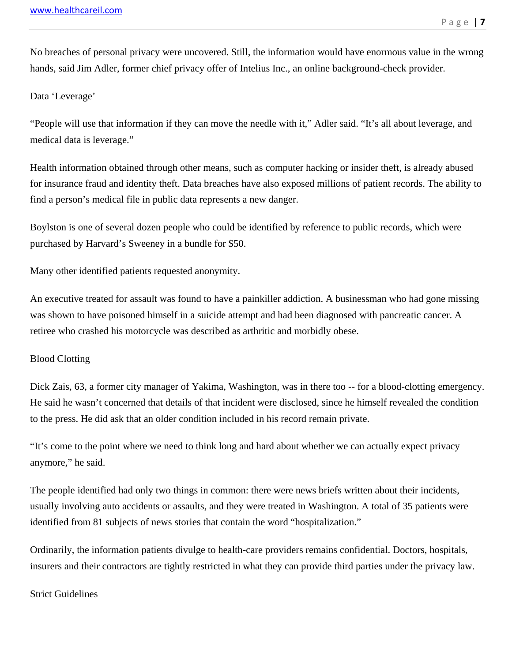No breaches of personal privacy were uncovered. Still, the information would have enormous value in the wrong hands, said Jim Adler, former chief privacy offer of Intelius Inc., an online background-check provider.

Data 'Leverage'

"People will use that information if they can move the needle with it," Adler said. "It's all about leverage, and medical data is leverage."

Health information obtained through other means, such as computer hacking or insider theft, is already abused for insurance fraud and identity theft. Data breaches have also exposed millions of patient records. The ability to find a person's medical file in public data represents a new danger.

Boylston is one of several dozen people who could be identified by reference to public records, which were purchased by Harvard's Sweeney in a bundle for \$50.

Many other identified patients requested anonymity.

An executive treated for assault was found to have a painkiller addiction. A businessman who had gone missing was shown to have poisoned himself in a suicide attempt and had been diagnosed with pancreatic cancer. A retiree who crashed his motorcycle was described as arthritic and morbidly obese.

### Blood Clotting

Dick Zais, 63, a former city manager of Yakima, Washington, was in there too -- for a blood-clotting emergency. He said he wasn't concerned that details of that incident were disclosed, since he himself revealed the condition to the press. He did ask that an older condition included in his record remain private.

"It's come to the point where we need to think long and hard about whether we can actually expect privacy anymore," he said.

The people identified had only two things in common: there were news briefs written about their incidents, usually involving auto accidents or assaults, and they were treated in Washington. A total of 35 patients were identified from 81 subjects of news stories that contain the word "hospitalization."

Ordinarily, the information patients divulge to health-care providers remains confidential. Doctors, hospitals, insurers and their contractors are tightly restricted in what they can provide third parties under the privacy law.

### Strict Guidelines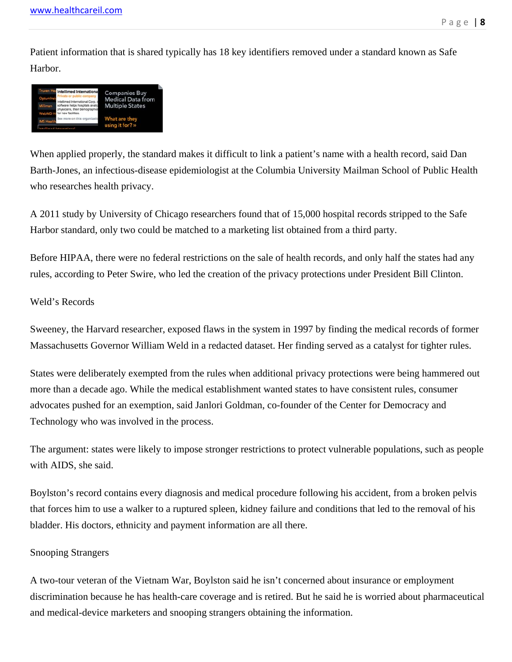Patient information that is shared typically has 18 key identifiers removed under a standard known as Safe Harbor.



When applied properly, the standard makes it difficult to link a patient's name with a health record, said Dan Barth-Jones, an infectious-disease epidemiologist at the Columbia University Mailman School of Public Health who researches health privacy.

A 2011 study by University of Chicago researchers found that of 15,000 hospital records stripped to the Safe Harbor standard, only two could be matched to a marketing list obtained from a third party.

Before HIPAA, there were no federal restrictions on the sale of health records, and only half the states had any rules, according to Peter Swire, who led the creation of the privacy protections under President Bill Clinton.

### Weld's Records

Sweeney, the Harvard researcher, exposed flaws in the system in 1997 by finding the medical records of former Massachusetts Governor William Weld in a redacted dataset. Her finding served as a catalyst for tighter rules.

States were deliberately exempted from the rules when additional privacy protections were being hammered out more than a decade ago. While the medical establishment wanted states to have consistent rules, consumer advocates pushed for an exemption, said Janlori Goldman, co-founder of the Center for Democracy and Technology who was involved in the process.

The argument: states were likely to impose stronger restrictions to protect vulnerable populations, such as people with AIDS, she said.

Boylston's record contains every diagnosis and medical procedure following his accident, from a broken pelvis that forces him to use a walker to a ruptured spleen, kidney failure and conditions that led to the removal of his bladder. His doctors, ethnicity and payment information are all there.

### Snooping Strangers

A two-tour veteran of the Vietnam War, Boylston said he isn't concerned about insurance or employment discrimination because he has health-care coverage and is retired. But he said he is worried about pharmaceutical and medical-device marketers and snooping strangers obtaining the information.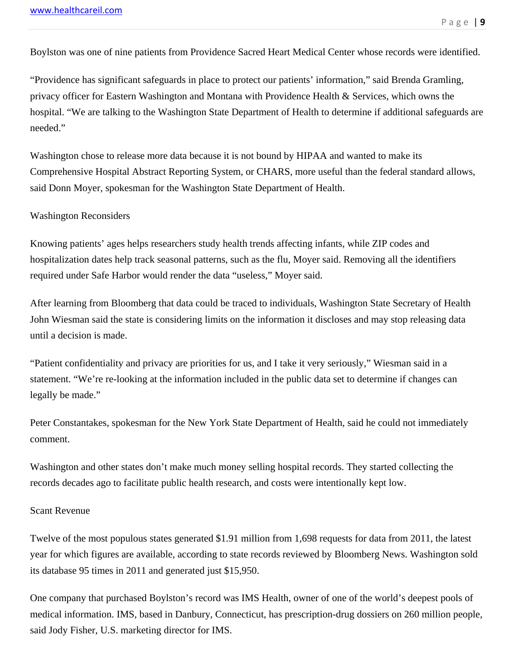Boylston was one of nine patients from Providence Sacred Heart Medical Center whose records were identified.

"Providence has significant safeguards in place to protect our patients' information," said Brenda Gramling, privacy officer for Eastern Washington and Montana with Providence Health & Services, which owns the hospital. "We are talking to the Washington State Department of Health to determine if additional safeguards are needed."

Washington chose to release more data because it is not bound by HIPAA and wanted to make its Comprehensive Hospital Abstract Reporting System, or CHARS, more useful than the federal standard allows, said Donn Moyer, spokesman for the Washington State Department of Health.

### Washington Reconsiders

Knowing patients' ages helps researchers study health trends affecting infants, while ZIP codes and hospitalization dates help track seasonal patterns, such as the flu, Moyer said. Removing all the identifiers required under Safe Harbor would render the data "useless," Moyer said.

After learning from Bloomberg that data could be traced to individuals, Washington State Secretary of Health John Wiesman said the state is considering limits on the information it discloses and may stop releasing data until a decision is made.

"Patient confidentiality and privacy are priorities for us, and I take it very seriously," Wiesman said in a statement. "We're re-looking at the information included in the public data set to determine if changes can legally be made."

Peter Constantakes, spokesman for the New York State Department of Health, said he could not immediately comment.

Washington and other states don't make much money selling hospital records. They started collecting the records decades ago to facilitate public health research, and costs were intentionally kept low.

### Scant Revenue

Twelve of the most populous states generated \$1.91 million from 1,698 requests for data from 2011, the latest year for which figures are available, according to state records reviewed by Bloomberg News. Washington sold its database 95 times in 2011 and generated just \$15,950.

One company that purchased Boylston's record was IMS Health, owner of one of the world's deepest pools of medical information. IMS, based in Danbury, Connecticut, has prescription-drug dossiers on 260 million people, said Jody Fisher, U.S. marketing director for IMS.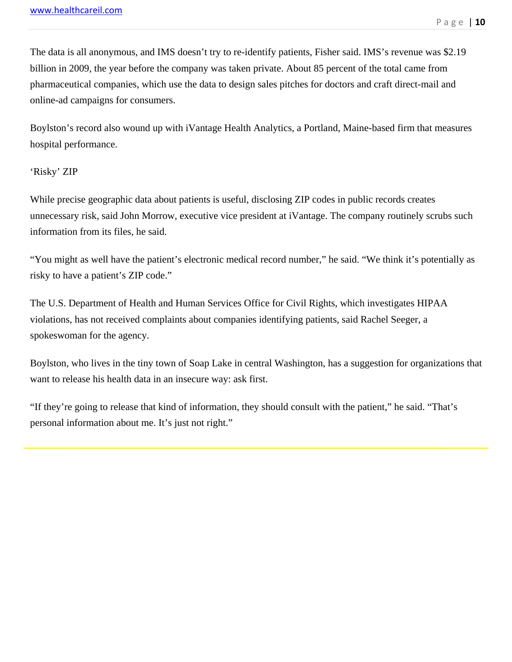The data is all anonymous, and IMS doesn't try to re-identify patients, Fisher said. IMS's revenue was \$2.19 billion in 2009, the year before the company was taken private. About 85 percent of the total came from pharmaceutical companies, which use the data to design sales pitches for doctors and craft direct-mail and online-ad campaigns for consumers.

Boylston's record also wound up with iVantage Health Analytics, a Portland, Maine-based firm that measures hospital performance.

### 'Risky' ZIP

While precise geographic data about patients is useful, disclosing ZIP codes in public records creates unnecessary risk, said John Morrow, executive vice president at iVantage. The company routinely scrubs such information from its files, he said.

"You might as well have the patient's electronic medical record number," he said. "We think it's potentially as risky to have a patient's ZIP code."

The U.S. Department of Health and Human Services Office for Civil Rights, which investigates HIPAA violations, has not received complaints about companies identifying patients, said Rachel Seeger, a spokeswoman for the agency.

Boylston, who lives in the tiny town of Soap Lake in central Washington, has a suggestion for organizations that want to release his health data in an insecure way: ask first.

"If they're going to release that kind of information, they should consult with the patient," he said. "That's personal information about me. It's just not right."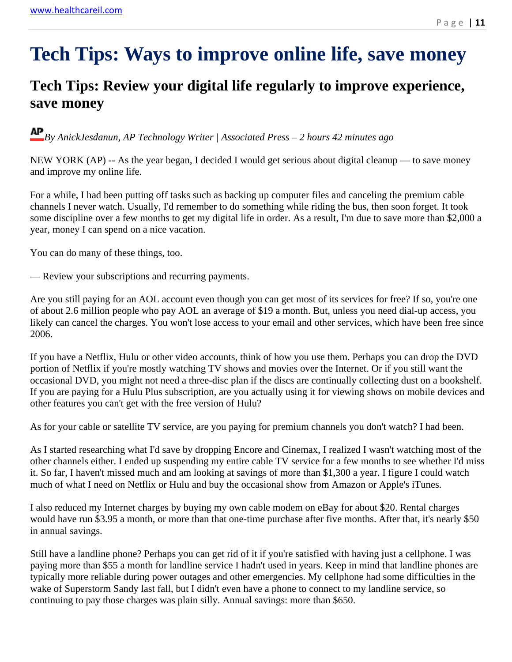# Tech Tips: Ways to improve online life, save money

# **Tech Tips: Review your digital life regularly to improve experience,** save money

*B By AnickJesd danun, AP T Technology W Writer | Asso ociated Press s – 2 hours 4 42 minutes a ago*

NEW YORK (AP) -- As the year began, I decided I would get serious about digital cleanup — to save money and improve my online life.

For a while, I had been putting off tasks such as backing up computer files and canceling the premium cable channels I never watch. Usually, I'd remember to do something while riding the bus, then soon forget. It took some discipline over a few months to get my digital life in order. As a result, I'm due to save more than \$2,000 a year, money I can spend on a nice vacation.

You can do many of these things, too.

— Review your subscriptions and recurring payments.

Are you still paying for an AOL account even though you can get most of its services for free? If so, you're one of about 2.6 million people who pay AOL an average of \$19 a month. But, unless you need dial-up access, you likely can cancel the charges. You won't lose access to your email and other services, which have been free since 2006 6.

If you have a Netflix, Hulu or other video accounts, think of how you use them. Perhaps you can drop the DVD portion of Netflix if you're mostly watching TV shows and movies over the Internet. Or if you still want the occasional DVD, you might not need a three-disc plan if the discs are continually collecting dust on a bookshelf. If you are paying for a Hulu Plus subscription, are you actually using it for viewing shows on mobile devices and other features you can't get with the free version of Hulu?

As for your cable or satellite TV service, are you paying for premium channels you don't watch? I had been.

As I started researching what I'd save by dropping Encore and Cinemax, I realized I wasn't watching most of the As I started researching what I'd save by dropping Encore and Cinemax, I realized I wasn't watching most of the<br>other channels either. I ended up suspending my entire cable TV service for a few months to see whether I'd mi it. So far, I haven't missed much and am looking at savings of more than \$1,300 a year. I figure I could watch much of what I need on Netflix or Hulu and buy the occasional show from Amazon or Apple's iTunes.

I also reduced my Internet charges by buying my own cable modem on eBay for about \$20. Rental charges would have run \$3.95 a month, or more than that one-time purchase after five months. After that, it's nearly \$50 in annual savings.

Still have a landline phone? Perhaps you can get rid of it if you're satisfied with having just a cellphone. I was paying more than \$55 a month for landline service I hadn't used in years. Keep in mind that landline phones are typically more reliable during power outages and other emergencies. My cellphone had some difficulties in the wake of Superstorm Sandy last fall, but I didn't even have a phone to connect to my landline service, so continuing to pay those charges was plain silly. Annual savings: more than \$650.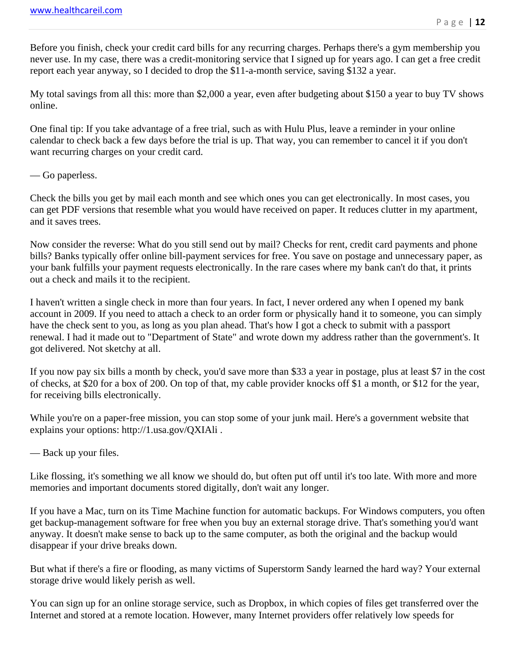Before you finish, check your credit card bills for any recurring charges. Perhaps there's a gym membership you never use. In my case, there was a credit-monitoring service that I signed up for years ago. I can get a free credit report each year anyway, so I decided to drop the \$11-a-month service, saving \$132 a year.

My total savings from all this: more than \$2,000 a year, even after budgeting about \$150 a year to buy TV shows online.

One final tip: If you take advantage of a free trial, such as with Hulu Plus, leave a reminder in your online calendar to check back a few days before the trial is up. That way, you can remember to cancel it if you don't want recurring charges on your credit card.

— Go paperless.

Check the bills you get by mail each month and see which ones you can get electronically. In most cases, you can get PDF versions that resemble what you would have received on paper. It reduces clutter in my apartment, and it saves trees.

Now consider the reverse: What do you still send out by mail? Checks for rent, credit card payments and phone bills? Banks typically offer online bill-payment services for free. You save on postage and unnecessary paper, as your bank fulfills your payment requests electronically. In the rare cases where my bank can't do that, it prints out a check and mails it to the recipient.

I haven't written a single check in more than four years. In fact, I never ordered any when I opened my bank account in 2009. If you need to attach a check to an order form or physically hand it to someone, you can simply have the check sent to you, as long as you plan ahead. That's how I got a check to submit with a passport renewal. I had it made out to "Department of State" and wrote down my address rather than the government's. It got delivered. Not sketchy at all.

If you now pay six bills a month by check, you'd save more than \$33 a year in postage, plus at least \$7 in the cost of checks, at \$20 for a box of 200. On top of that, my cable provider knocks off \$1 a month, or \$12 for the year, for receiving bills electronically.

While you're on a paper-free mission, you can stop some of your junk mail. Here's a government website that explains your options: http://1.usa.gov/QXIAli .

— Back up your files.

Like flossing, it's something we all know we should do, but often put off until it's too late. With more and more memories and important documents stored digitally, don't wait any longer.

If you have a Mac, turn on its Time Machine function for automatic backups. For Windows computers, you often get backup-management software for free when you buy an external storage drive. That's something you'd want anyway. It doesn't make sense to back up to the same computer, as both the original and the backup would disappear if your drive breaks down.

But what if there's a fire or flooding, as many victims of Superstorm Sandy learned the hard way? Your external storage drive would likely perish as well.

You can sign up for an online storage service, such as Dropbox, in which copies of files get transferred over the Internet and stored at a remote location. However, many Internet providers offer relatively low speeds for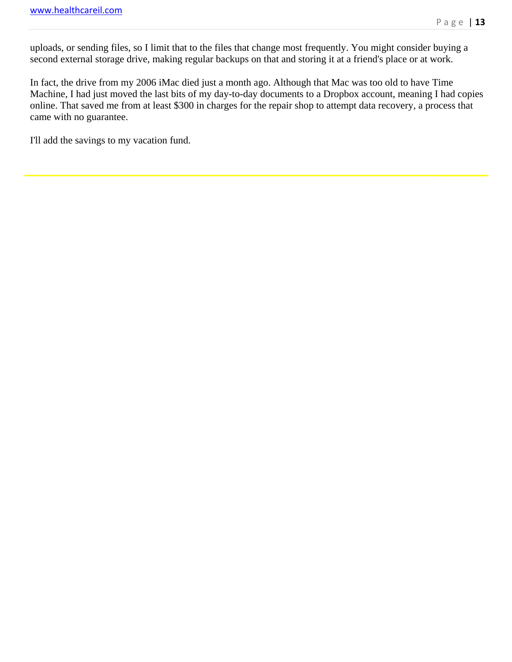uploads, or sending files, so I limit that to the files that change most frequently. You might consider buying a second external storage drive, making regular backups on that and storing it at a friend's place or at work.

In fact, the drive from my 2006 iMac died just a month ago. Although that Mac was too old to have Time Machine, I had just moved the last bits of my day-to-day documents to a Dropbox account, meaning I had copies online. That saved me from at least \$300 in charges for the repair shop to attempt data recovery, a process that came with no guarantee.

I'll add the savings to my vacation fund.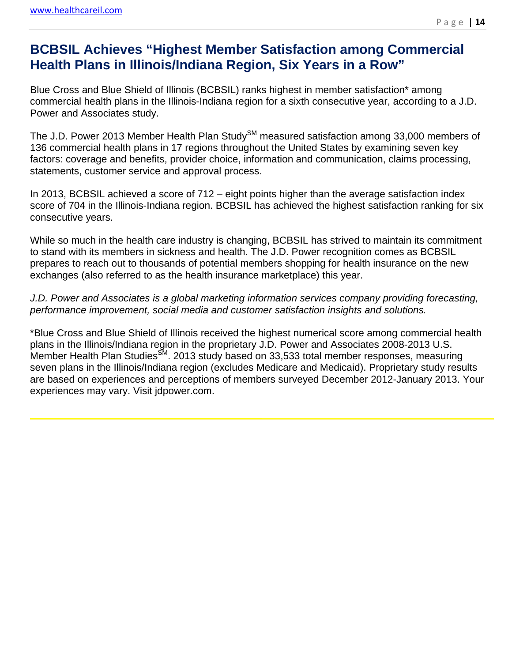## **BCBSIL Achieves "Highest Member Satisfaction among Commercial Health Plans in Illinois/Indiana Region, Six Years in a Row"**

Blue Cross and Blue Shield of Illinois (BCBSIL) ranks highest in member satisfaction\* among commercial health plans in the Illinois-Indiana region for a sixth consecutive year, according to a J.D. Power and Associates study.

The J.D. Power 2013 Member Health Plan Study<sup>SM</sup> measured satisfaction among 33,000 members of 136 commercial health plans in 17 regions throughout the United States by examining seven key factors: coverage and benefits, provider choice, information and communication, claims processing, statements, customer service and approval process.

In 2013, BCBSIL achieved a score of 712 – eight points higher than the average satisfaction index score of 704 in the Illinois-Indiana region. BCBSIL has achieved the highest satisfaction ranking for six consecutive years.

While so much in the health care industry is changing, BCBSIL has strived to maintain its commitment to stand with its members in sickness and health. The J.D. Power recognition comes as BCBSIL prepares to reach out to thousands of potential members shopping for health insurance on the new exchanges (also referred to as the health insurance marketplace) this year.

*J.D. Power and Associates is a global marketing information services company providing forecasting, performance improvement, social media and customer satisfaction insights and solutions.* 

\*Blue Cross and Blue Shield of Illinois received the highest numerical score among commercial health plans in the Illinois/Indiana region in the proprietary J.D. Power and Associates 2008-2013 U.S. Member Health Plan Studies<sup>SM</sup>. 2013 study based on 33,533 total member responses, measuring seven plans in the Illinois/Indiana region (excludes Medicare and Medicaid). Proprietary study results are based on experiences and perceptions of members surveyed December 2012-January 2013. Your experiences may vary. Visit jdpower.com.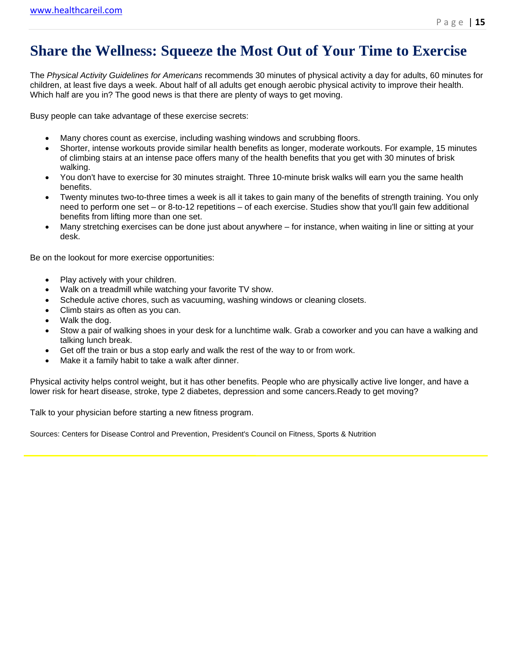# **Share the Wellness: Squeeze the Most Out of Your Time to Exercise**

The *Physical Activity Guidelines for Americans* recommends 30 minutes of physical activity a day for adults, 60 minutes for children, at least five days a week. About half of all adults get enough aerobic physical activity to improve their health. Which half are you in? The good news is that there are plenty of ways to get moving.

Busy people can take advantage of these exercise secrets:

- Many chores count as exercise, including washing windows and scrubbing floors.
- Shorter, intense workouts provide similar health benefits as longer, moderate workouts. For example, 15 minutes of climbing stairs at an intense pace offers many of the health benefits that you get with 30 minutes of brisk walking.
- You don't have to exercise for 30 minutes straight. Three 10-minute brisk walks will earn you the same health benefits.
- Twenty minutes two-to-three times a week is all it takes to gain many of the benefits of strength training. You only need to perform one set – or 8-to-12 repetitions – of each exercise. Studies show that you'll gain few additional benefits from lifting more than one set.
- Many stretching exercises can be done just about anywhere for instance, when waiting in line or sitting at your desk.

Be on the lookout for more exercise opportunities:

- Play actively with your children.
- Walk on a treadmill while watching your favorite TV show.
- Schedule active chores, such as vacuuming, washing windows or cleaning closets.
- Climb stairs as often as you can.
- Walk the dog.

I

- Stow a pair of walking shoes in your desk for a lunchtime walk. Grab a coworker and you can have a walking and talking lunch break.
- Get off the train or bus a stop early and walk the rest of the way to or from work.
- Make it a family habit to take a walk after dinner.

Physical activity helps control weight, but it has other benefits. People who are physically active live longer, and have a lower risk for heart disease, stroke, type 2 diabetes, depression and some cancers.Ready to get moving?

Talk to your physician before starting a new fitness program.

Sources: Centers for Disease Control and Prevention, President's Council on Fitness, Sports & Nutrition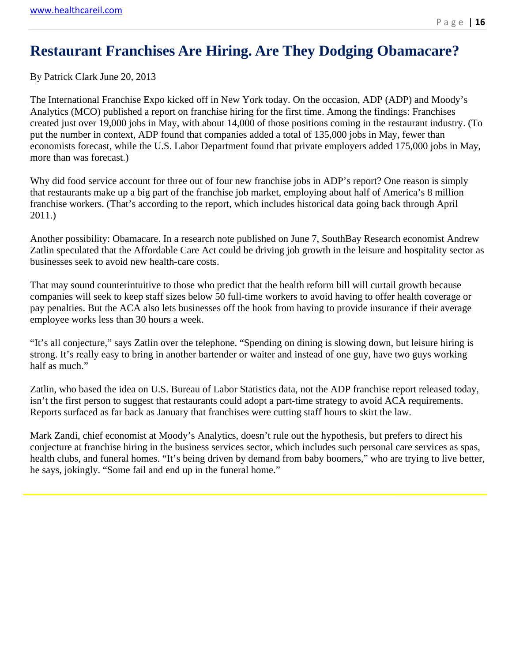## **Restaurant Franchises Are Hiring. Are They Dodging Obamacare?**

By Patrick Clark June 20, 2013

The International Franchise Expo kicked off in New York today. On the occasion, ADP (ADP) and Moody's Analytics (MCO) published a report on franchise hiring for the first time. Among the findings: Franchises created just over 19,000 jobs in May, with about 14,000 of those positions coming in the restaurant industry. (To put the number in context, ADP found that companies added a total of 135,000 jobs in May, fewer than economists forecast, while the U.S. Labor Department found that private employers added 175,000 jobs in May, more than was forecast.)

Why did food service account for three out of four new franchise jobs in ADP's report? One reason is simply that restaurants make up a big part of the franchise job market, employing about half of America's 8 million franchise workers. (That's according to the report, which includes historical data going back through April 2011.)

Another possibility: Obamacare. In a research note published on June 7, SouthBay Research economist Andrew Zatlin speculated that the Affordable Care Act could be driving job growth in the leisure and hospitality sector as businesses seek to avoid new health-care costs.

That may sound counterintuitive to those who predict that the health reform bill will curtail growth because companies will seek to keep staff sizes below 50 full-time workers to avoid having to offer health coverage or pay penalties. But the ACA also lets businesses off the hook from having to provide insurance if their average employee works less than 30 hours a week.

"It's all conjecture," says Zatlin over the telephone. "Spending on dining is slowing down, but leisure hiring is strong. It's really easy to bring in another bartender or waiter and instead of one guy, have two guys working half as much."

Zatlin, who based the idea on U.S. Bureau of Labor Statistics data, not the ADP franchise report released today, isn't the first person to suggest that restaurants could adopt a part-time strategy to avoid ACA requirements. Reports surfaced as far back as January that franchises were cutting staff hours to skirt the law.

Mark Zandi, chief economist at Moody's Analytics, doesn't rule out the hypothesis, but prefers to direct his conjecture at franchise hiring in the business services sector, which includes such personal care services as spas, health clubs, and funeral homes. "It's being driven by demand from baby boomers," who are trying to live better, he says, jokingly. "Some fail and end up in the funeral home."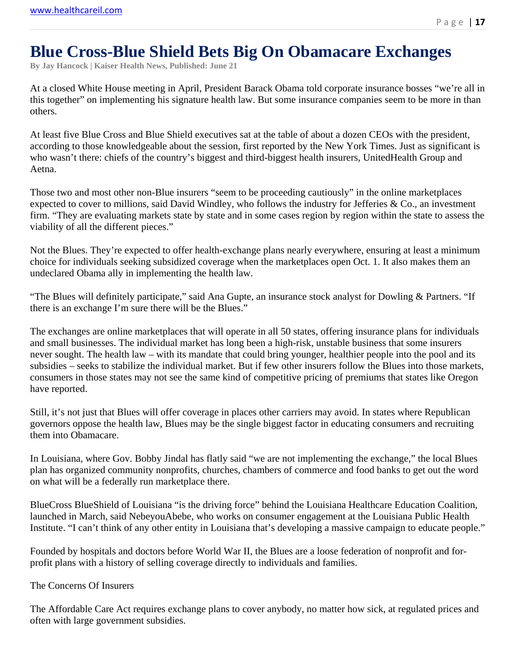# **Blue Cross-Blue Shield Bets Big On Obamacare Exchanges**

**By Jay Hancock | Kaiser Health News, Published: June 21**

At a closed White House meeting in April, President Barack Obama told corporate insurance bosses "we're all in this together" on implementing his signature health law. But some insurance companies seem to be more in than others.

At least five Blue Cross and Blue Shield executives sat at the table of about a dozen CEOs with the president, according to those knowledgeable about the session, first reported by the New York Times. Just as significant is who wasn't there: chiefs of the country's biggest and third-biggest health insurers, UnitedHealth Group and Aetna.

Those two and most other non-Blue insurers "seem to be proceeding cautiously" in the online marketplaces expected to cover to millions, said David Windley, who follows the industry for Jefferies & Co., an investment firm. "They are evaluating markets state by state and in some cases region by region within the state to assess the viability of all the different pieces."

Not the Blues. They're expected to offer health-exchange plans nearly everywhere, ensuring at least a minimum choice for individuals seeking subsidized coverage when the marketplaces open Oct. 1. It also makes them an undeclared Obama ally in implementing the health law.

"The Blues will definitely participate," said Ana Gupte, an insurance stock analyst for Dowling & Partners. "If there is an exchange I'm sure there will be the Blues."

The exchanges are online marketplaces that will operate in all 50 states, offering insurance plans for individuals and small businesses. The individual market has long been a high-risk, unstable business that some insurers never sought. The health law – with its mandate that could bring younger, healthier people into the pool and its subsidies – seeks to stabilize the individual market. But if few other insurers follow the Blues into those markets, consumers in those states may not see the same kind of competitive pricing of premiums that states like Oregon have reported.

Still, it's not just that Blues will offer coverage in places other carriers may avoid. In states where Republican governors oppose the health law, Blues may be the single biggest factor in educating consumers and recruiting them into Obamacare.

In Louisiana, where Gov. Bobby Jindal has flatly said "we are not implementing the exchange," the local Blues plan has organized community nonprofits, churches, chambers of commerce and food banks to get out the word on what will be a federally run marketplace there.

BlueCross BlueShield of Louisiana "is the driving force" behind the Louisiana Healthcare Education Coalition, launched in March, said NebeyouAbebe, who works on consumer engagement at the Louisiana Public Health Institute. "I can't think of any other entity in Louisiana that's developing a massive campaign to educate people."

Founded by hospitals and doctors before World War II, the Blues are a loose federation of nonprofit and forprofit plans with a history of selling coverage directly to individuals and families.

The Concerns Of Insurers

The Affordable Care Act requires exchange plans to cover anybody, no matter how sick, at regulated prices and often with large government subsidies.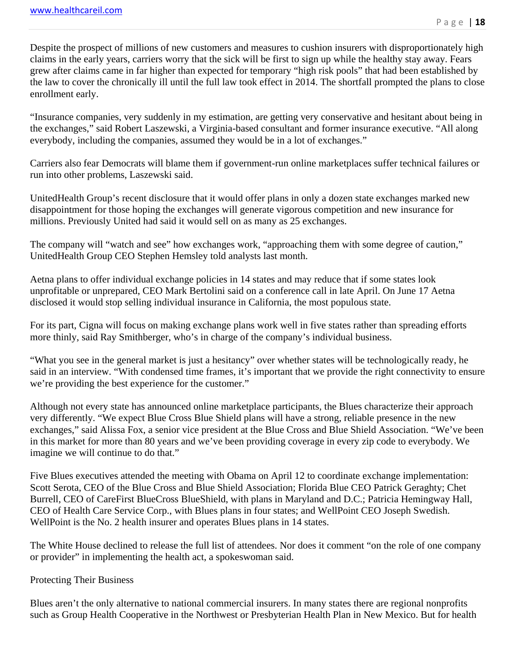Despite the prospect of millions of new customers and measures to cushion insurers with disproportionately high claims in the early years, carriers worry that the sick will be first to sign up while the healthy stay away. Fears grew after claims came in far higher than expected for temporary "high risk pools" that had been established by the law to cover the chronically ill until the full law took effect in 2014. The shortfall prompted the plans to close enrollment early.

"Insurance companies, very suddenly in my estimation, are getting very conservative and hesitant about being in the exchanges," said Robert Laszewski, a Virginia-based consultant and former insurance executive. "All along everybody, including the companies, assumed they would be in a lot of exchanges."

Carriers also fear Democrats will blame them if government-run online marketplaces suffer technical failures or run into other problems, Laszewski said.

UnitedHealth Group's recent disclosure that it would offer plans in only a dozen state exchanges marked new disappointment for those hoping the exchanges will generate vigorous competition and new insurance for millions. Previously United had said it would sell on as many as 25 exchanges.

The company will "watch and see" how exchanges work, "approaching them with some degree of caution," UnitedHealth Group CEO Stephen Hemsley told analysts last month.

Aetna plans to offer individual exchange policies in 14 states and may reduce that if some states look unprofitable or unprepared, CEO Mark Bertolini said on a conference call in late April. On June 17 Aetna disclosed it would stop selling individual insurance in California, the most populous state.

For its part, Cigna will focus on making exchange plans work well in five states rather than spreading efforts more thinly, said Ray Smithberger, who's in charge of the company's individual business.

"What you see in the general market is just a hesitancy" over whether states will be technologically ready, he said in an interview. "With condensed time frames, it's important that we provide the right connectivity to ensure we're providing the best experience for the customer."

Although not every state has announced online marketplace participants, the Blues characterize their approach very differently. "We expect Blue Cross Blue Shield plans will have a strong, reliable presence in the new exchanges," said Alissa Fox, a senior vice president at the Blue Cross and Blue Shield Association. "We've been in this market for more than 80 years and we've been providing coverage in every zip code to everybody. We imagine we will continue to do that."

Five Blues executives attended the meeting with Obama on April 12 to coordinate exchange implementation: Scott Serota, CEO of the Blue Cross and Blue Shield Association; Florida Blue CEO Patrick Geraghty; Chet Burrell, CEO of CareFirst BlueCross BlueShield, with plans in Maryland and D.C.; Patricia Hemingway Hall, CEO of Health Care Service Corp., with Blues plans in four states; and WellPoint CEO Joseph Swedish. WellPoint is the No. 2 health insurer and operates Blues plans in 14 states.

The White House declined to release the full list of attendees. Nor does it comment "on the role of one company or provider" in implementing the health act, a spokeswoman said.

Protecting Their Business

Blues aren't the only alternative to national commercial insurers. In many states there are regional nonprofits such as Group Health Cooperative in the Northwest or Presbyterian Health Plan in New Mexico. But for health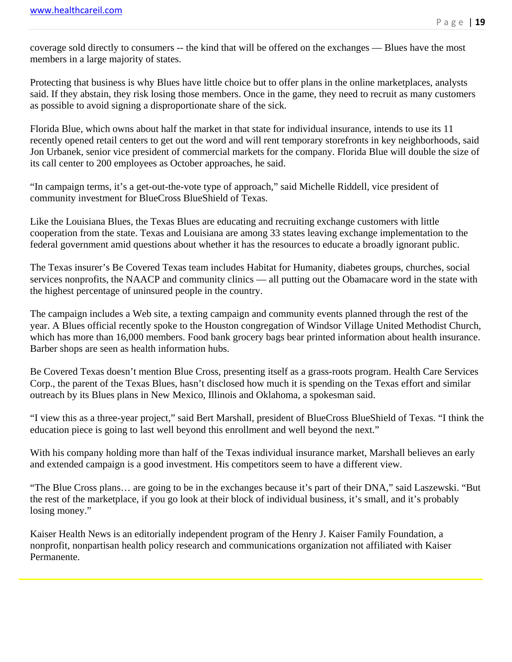coverage sold directly to consumers -- the kind that will be offered on the exchanges — Blues have the most members in a large majority of states.

Protecting that business is why Blues have little choice but to offer plans in the online marketplaces, analysts said. If they abstain, they risk losing those members. Once in the game, they need to recruit as many customers as possible to avoid signing a disproportionate share of the sick.

Florida Blue, which owns about half the market in that state for individual insurance, intends to use its 11 recently opened retail centers to get out the word and will rent temporary storefronts in key neighborhoods, said Jon Urbanek, senior vice president of commercial markets for the company. Florida Blue will double the size of its call center to 200 employees as October approaches, he said.

"In campaign terms, it's a get-out-the-vote type of approach," said Michelle Riddell, vice president of community investment for BlueCross BlueShield of Texas.

Like the Louisiana Blues, the Texas Blues are educating and recruiting exchange customers with little cooperation from the state. Texas and Louisiana are among 33 states leaving exchange implementation to the federal government amid questions about whether it has the resources to educate a broadly ignorant public.

The Texas insurer's Be Covered Texas team includes Habitat for Humanity, diabetes groups, churches, social services nonprofits, the NAACP and community clinics — all putting out the Obamacare word in the state with the highest percentage of uninsured people in the country.

The campaign includes a Web site, a texting campaign and community events planned through the rest of the year. A Blues official recently spoke to the Houston congregation of Windsor Village United Methodist Church, which has more than 16,000 members. Food bank grocery bags bear printed information about health insurance. Barber shops are seen as health information hubs.

Be Covered Texas doesn't mention Blue Cross, presenting itself as a grass-roots program. Health Care Services Corp., the parent of the Texas Blues, hasn't disclosed how much it is spending on the Texas effort and similar outreach by its Blues plans in New Mexico, Illinois and Oklahoma, a spokesman said.

"I view this as a three-year project," said Bert Marshall, president of BlueCross BlueShield of Texas. "I think the education piece is going to last well beyond this enrollment and well beyond the next."

With his company holding more than half of the Texas individual insurance market, Marshall believes an early and extended campaign is a good investment. His competitors seem to have a different view.

"The Blue Cross plans… are going to be in the exchanges because it's part of their DNA," said Laszewski. "But the rest of the marketplace, if you go look at their block of individual business, it's small, and it's probably losing money."

Kaiser Health News is an editorially independent program of the Henry J. Kaiser Family Foundation, a nonprofit, nonpartisan health policy research and communications organization not affiliated with Kaiser Permanente.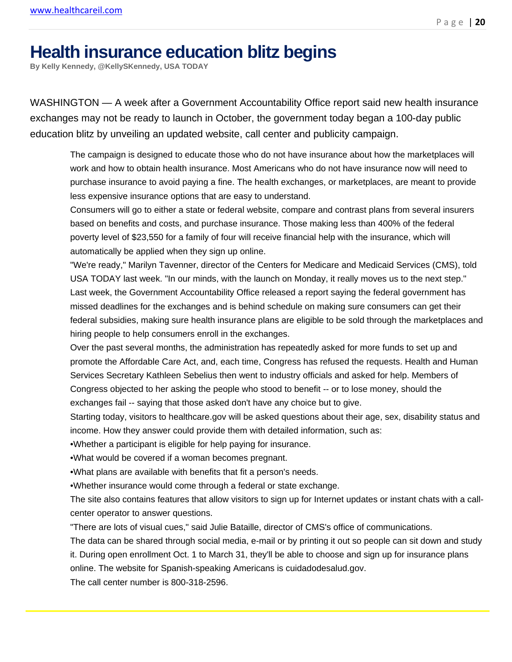# **Health insurance education blitz begins**

**By Kelly Kennedy, @KellySKennedy, USA TODAY** 

WASHINGTON — A week after a Government Accountability Office report said new health insurance exchanges may not be ready to launch in October, the government today began a 100-day public education blitz by unveiling an updated website, call center and publicity campaign.

The campaign is designed to educate those who do not have insurance about how the marketplaces will work and how to obtain health insurance. Most Americans who do not have insurance now will need to purchase insurance to avoid paying a fine. The health exchanges, or marketplaces, are meant to provide less expensive insurance options that are easy to understand.

Consumers will go to either a state or federal website, compare and contrast plans from several insurers based on benefits and costs, and purchase insurance. Those making less than 400% of the federal poverty level of \$23,550 for a family of four will receive financial help with the insurance, which will automatically be applied when they sign up online.

"We're ready," Marilyn Tavenner, director of the Centers for Medicare and Medicaid Services (CMS), told USA TODAY last week. "In our minds, with the launch on Monday, it really moves us to the next step." Last week, the Government Accountability Office released a report saying the federal government has missed deadlines for the exchanges and is behind schedule on making sure consumers can get their federal subsidies, making sure health insurance plans are eligible to be sold through the marketplaces and hiring people to help consumers enroll in the exchanges.

Over the past several months, the administration has repeatedly asked for more funds to set up and promote the Affordable Care Act, and, each time, Congress has refused the requests. Health and Human Services Secretary Kathleen Sebelius then went to industry officials and asked for help. Members of Congress objected to her asking the people who stood to benefit -- or to lose money, should the exchanges fail -- saying that those asked don't have any choice but to give.

Starting today, visitors to healthcare.gov will be asked questions about their age, sex, disability status and income. How they answer could provide them with detailed information, such as:

•Whether a participant is eligible for help paying for insurance.

•What would be covered if a woman becomes pregnant.

•What plans are available with benefits that fit a person's needs.

•Whether insurance would come through a federal or state exchange.

The site also contains features that allow visitors to sign up for Internet updates or instant chats with a callcenter operator to answer questions.

"There are lots of visual cues," said Julie Bataille, director of CMS's office of communications.

The data can be shared through social media, e-mail or by printing it out so people can sit down and study it. During open enrollment Oct. 1 to March 31, they'll be able to choose and sign up for insurance plans online. The website for Spanish-speaking Americans is cuidadodesalud.gov.

The call center number is 800-318-2596.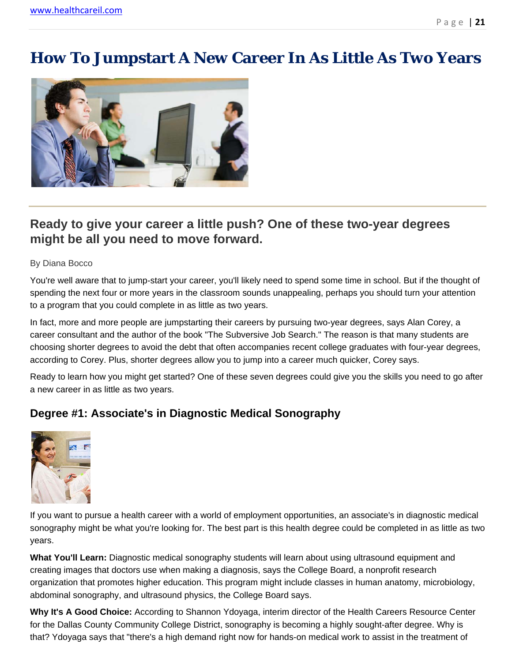# **How To Jumpstart A New Career In As Little As Two Years**



### **Ready to give your career a little push? One of these two-year degrees might be all you need to move forward.**

#### By Diana Bocco

You're well aware that to jump-start your career, you'll likely need to spend some time in school. But if the thought of spending the next four or more years in the classroom sounds unappealing, perhaps you should turn your attention to a program that you could complete in as little as two years.

In fact, more and more people are jumpstarting their careers by pursuing two-year degrees, says Alan Corey, a career consultant and the author of the book "The Subversive Job Search." The reason is that many students are choosing shorter degrees to avoid the debt that often accompanies recent college graduates with four-year degrees, according to Corey. Plus, shorter degrees allow you to jump into a career much quicker, Corey says.

Ready to learn how you might get started? One of these seven degrees could give you the skills you need to go after a new career in as little as two years.

### **Degree #1: Associate's in Diagnostic Medical Sonography**



If you want to pursue a health career with a world of employment opportunities, an associate's in diagnostic medical sonography might be what you're looking for. The best part is this health degree could be completed in as little as two years.

**What You'll Learn:** Diagnostic medical sonography students will learn about using ultrasound equipment and creating images that doctors use when making a diagnosis, says the College Board, a nonprofit research organization that promotes higher education. This program might include classes in human anatomy, microbiology, abdominal sonography, and ultrasound physics, the College Board says.

**Why It's A Good Choice:** According to Shannon Ydoyaga, interim director of the Health Careers Resource Center for the Dallas County Community College District, sonography is becoming a highly sought-after degree. Why is that? Ydoyaga says that "there's a high demand right now for hands-on medical work to assist in the treatment of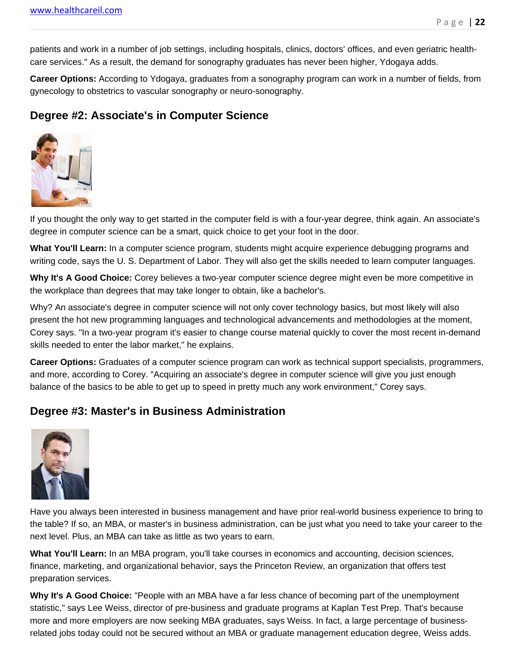patients and work in a number of job settings, including hospitals, clinics, doctors' offices, and even geriatric healthcare services." As a result, the demand for sonography graduates has never been higher, Ydogaya adds.

**Career Options:** According to Ydogaya, graduates from a sonography program can work in a number of fields, from gynecology to obstetrics to vascular sonography or neuro-sonography.

### **Degree #2: Associate's in Computer Science**



If you thought the only way to get started in the computer field is with a four-year degree, think again. An associate's degree in computer science can be a smart, quick choice to get your foot in the door.

**What You'll Learn:** In a computer science program, students might acquire experience debugging programs and writing code, says the U. S. Department of Labor. They will also get the skills needed to learn computer languages.

**Why It's A Good Choice:** Corey believes a two-year computer science degree might even be more competitive in the workplace than degrees that may take longer to obtain, like a bachelor's.

Why? An associate's degree in computer science will not only cover technology basics, but most likely will also present the hot new programming languages and technological advancements and methodologies at the moment, Corey says. "In a two-year program it's easier to change course material quickly to cover the most recent in-demand skills needed to enter the labor market," he explains.

**Career Options:** Graduates of a computer science program can work as technical support specialists, programmers, and more, according to Corey. "Acquiring an associate's degree in computer science will give you just enough balance of the basics to be able to get up to speed in pretty much any work environment," Corey says.

### **Degree #3: Master's in Business Administration**



Have you always been interested in business management and have prior real-world business experience to bring to the table? If so, an MBA, or master's in business administration, can be just what you need to take your career to the next level. Plus, an MBA can take as little as two years to earn.

**What You'll Learn:** In an MBA program, you'll take courses in economics and accounting, decision sciences, finance, marketing, and organizational behavior, says the Princeton Review, an organization that offers test preparation services.

**Why It's A Good Choice:** "People with an MBA have a far less chance of becoming part of the unemployment statistic," says Lee Weiss, director of pre-business and graduate programs at Kaplan Test Prep. That's because more and more employers are now seeking MBA graduates, says Weiss. In fact, a large percentage of businessrelated jobs today could not be secured without an MBA or graduate management education degree, Weiss adds.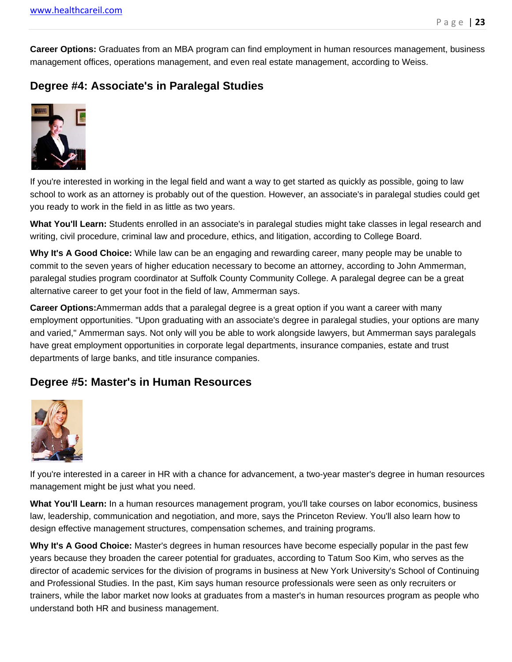**Career Options:** Graduates from an MBA program can find employment in human resources management, business management offices, operations management, and even real estate management, according to Weiss.

### **Degree #4: Associate's in Paralegal Studies**



If you're interested in working in the legal field and want a way to get started as quickly as possible, going to law school to work as an attorney is probably out of the question. However, an associate's in paralegal studies could get you ready to work in the field in as little as two years.

**What You'll Learn:** Students enrolled in an associate's in paralegal studies might take classes in legal research and writing, civil procedure, criminal law and procedure, ethics, and litigation, according to College Board.

**Why It's A Good Choice:** While law can be an engaging and rewarding career, many people may be unable to commit to the seven years of higher education necessary to become an attorney, according to John Ammerman, paralegal studies program coordinator at Suffolk County Community College. A paralegal degree can be a great alternative career to get your foot in the field of law, Ammerman says.

**Career Options:**Ammerman adds that a paralegal degree is a great option if you want a career with many employment opportunities. "Upon graduating with an associate's degree in paralegal studies, your options are many and varied," Ammerman says. Not only will you be able to work alongside lawyers, but Ammerman says paralegals have great employment opportunities in corporate legal departments, insurance companies, estate and trust departments of large banks, and title insurance companies.

### **Degree #5: Master's in Human Resources**



If you're interested in a career in HR with a chance for advancement, a two-year master's degree in human resources management might be just what you need.

**What You'll Learn:** In a human resources management program, you'll take courses on labor economics, business law, leadership, communication and negotiation, and more, says the Princeton Review. You'll also learn how to design effective management structures, compensation schemes, and training programs.

**Why It's A Good Choice:** Master's degrees in human resources have become especially popular in the past few years because they broaden the career potential for graduates, according to Tatum Soo Kim, who serves as the director of academic services for the division of programs in business at New York University's School of Continuing and Professional Studies. In the past, Kim says human resource professionals were seen as only recruiters or trainers, while the labor market now looks at graduates from a master's in human resources program as people who understand both HR and business management.